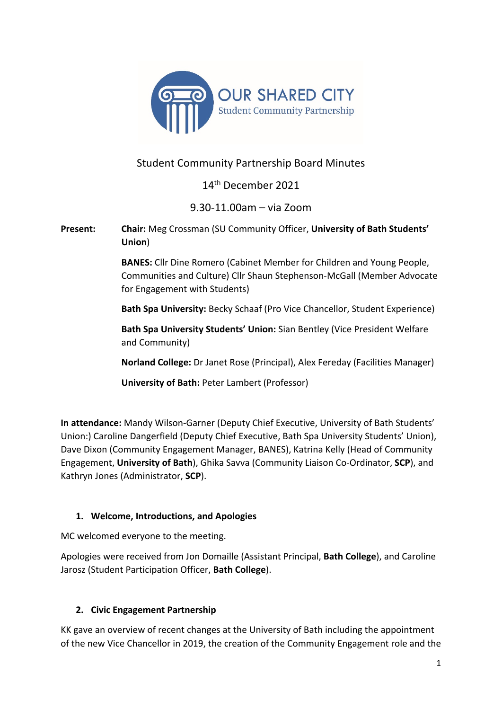

# Student Community Partnership Board Minutes

14th December 2021

9.30-11.00am – via Zoom

**Present: Chair:** Meg Crossman (SU Community Officer, **University of Bath Students' Union**)

> **BANES:** Cllr Dine Romero (Cabinet Member for Children and Young People, Communities and Culture) Cllr Shaun Stephenson-McGall (Member Advocate for Engagement with Students)

> **Bath Spa University:** Becky Schaaf (Pro Vice Chancellor, Student Experience)

**Bath Spa University Students' Union:** Sian Bentley (Vice President Welfare and Community)

**Norland College:** Dr Janet Rose (Principal), Alex Fereday (Facilities Manager)

**University of Bath:** Peter Lambert (Professor)

**In attendance:** Mandy Wilson-Garner (Deputy Chief Executive, University of Bath Students' Union:) Caroline Dangerfield (Deputy Chief Executive, Bath Spa University Students' Union), Dave Dixon (Community Engagement Manager, BANES), Katrina Kelly (Head of Community Engagement, **University of Bath**), Ghika Savva (Community Liaison Co-Ordinator, **SCP**), and Kathryn Jones (Administrator, **SCP**).

# **1. Welcome, Introductions, and Apologies**

MC welcomed everyone to the meeting.

Apologies were received from Jon Domaille (Assistant Principal, **Bath College**), and Caroline Jarosz (Student Participation Officer, **Bath College**).

# **2. Civic Engagement Partnership**

KK gave an overview of recent changes at the University of Bath including the appointment of the new Vice Chancellor in 2019, the creation of the Community Engagement role and the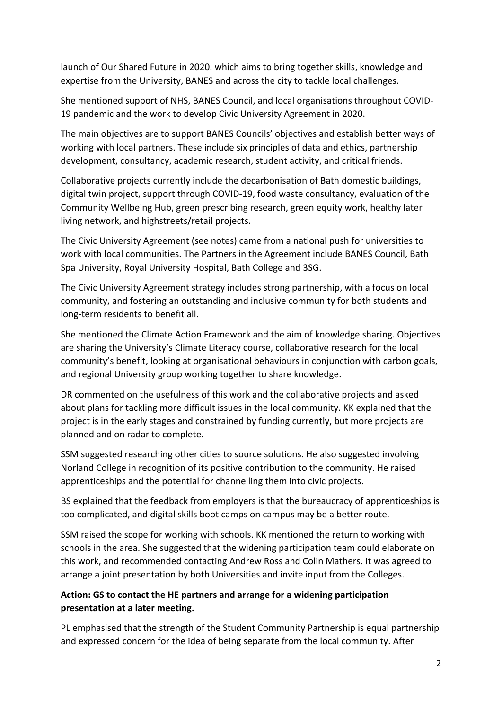launch of Our Shared Future in 2020. which aims to bring together skills, knowledge and expertise from the University, BANES and across the city to tackle local challenges.

She mentioned support of NHS, BANES Council, and local organisations throughout COVID-19 pandemic and the work to develop Civic University Agreement in 2020.

The main objectives are to support BANES Councils' objectives and establish better ways of working with local partners. These include six principles of data and ethics, partnership development, consultancy, academic research, student activity, and critical friends.

Collaborative projects currently include the decarbonisation of Bath domestic buildings, digital twin project, support through COVID-19, food waste consultancy, evaluation of the Community Wellbeing Hub, green prescribing research, green equity work, healthy later living network, and highstreets/retail projects.

The Civic University Agreement (see notes) came from a national push for universities to work with local communities. The Partners in the Agreement include BANES Council, Bath Spa University, Royal University Hospital, Bath College and 3SG.

The Civic University Agreement strategy includes strong partnership, with a focus on local community, and fostering an outstanding and inclusive community for both students and long-term residents to benefit all.

She mentioned the Climate Action Framework and the aim of knowledge sharing. Objectives are sharing the University's Climate Literacy course, collaborative research for the local community's benefit, looking at organisational behaviours in conjunction with carbon goals, and regional University group working together to share knowledge.

DR commented on the usefulness of this work and the collaborative projects and asked about plans for tackling more difficult issues in the local community. KK explained that the project is in the early stages and constrained by funding currently, but more projects are planned and on radar to complete.

SSM suggested researching other cities to source solutions. He also suggested involving Norland College in recognition of its positive contribution to the community. He raised apprenticeships and the potential for channelling them into civic projects.

BS explained that the feedback from employers is that the bureaucracy of apprenticeships is too complicated, and digital skills boot camps on campus may be a better route.

SSM raised the scope for working with schools. KK mentioned the return to working with schools in the area. She suggested that the widening participation team could elaborate on this work, and recommended contacting Andrew Ross and Colin Mathers. It was agreed to arrange a joint presentation by both Universities and invite input from the Colleges.

# **Action: GS to contact the HE partners and arrange for a widening participation presentation at a later meeting.**

PL emphasised that the strength of the Student Community Partnership is equal partnership and expressed concern for the idea of being separate from the local community. After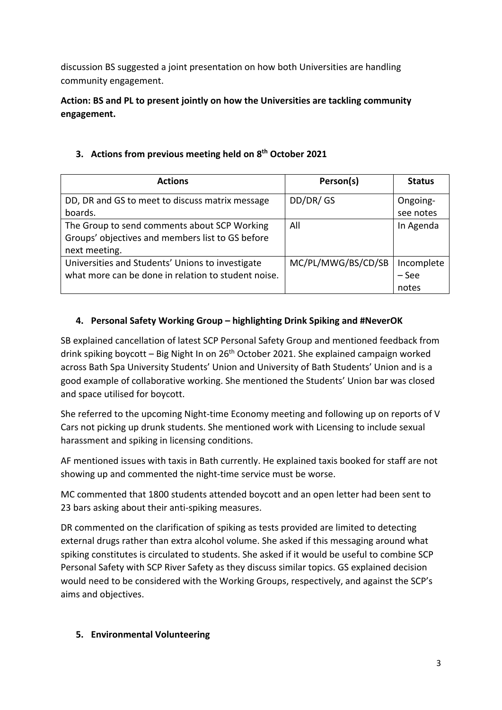discussion BS suggested a joint presentation on how both Universities are handling community engagement.

**Action: BS and PL to present jointly on how the Universities are tackling community engagement.**

| <b>Actions</b>                                      | Person(s)          | <b>Status</b> |
|-----------------------------------------------------|--------------------|---------------|
| DD, DR and GS to meet to discuss matrix message     | DD/DR/GS           | Ongoing-      |
| boards.                                             |                    | see notes     |
| The Group to send comments about SCP Working        | All                | In Agenda     |
| Groups' objectives and members list to GS before    |                    |               |
| next meeting.                                       |                    |               |
| Universities and Students' Unions to investigate    | MC/PL/MWG/BS/CD/SB | Incomplete    |
| what more can be done in relation to student noise. |                    | - See         |
|                                                     |                    | notes         |

# **3. Actions from previous meeting held on 8th October 2021**

# **4. Personal Safety Working Group – highlighting Drink Spiking and #NeverOK**

SB explained cancellation of latest SCP Personal Safety Group and mentioned feedback from drink spiking boycott – Big Night In on  $26<sup>th</sup>$  October 2021. She explained campaign worked across Bath Spa University Students' Union and University of Bath Students' Union and is a good example of collaborative working. She mentioned the Students' Union bar was closed and space utilised for boycott.

She referred to the upcoming Night-time Economy meeting and following up on reports of V Cars not picking up drunk students. She mentioned work with Licensing to include sexual harassment and spiking in licensing conditions.

AF mentioned issues with taxis in Bath currently. He explained taxis booked for staff are not showing up and commented the night-time service must be worse.

MC commented that 1800 students attended boycott and an open letter had been sent to 23 bars asking about their anti-spiking measures.

DR commented on the clarification of spiking as tests provided are limited to detecting external drugs rather than extra alcohol volume. She asked if this messaging around what spiking constitutes is circulated to students. She asked if it would be useful to combine SCP Personal Safety with SCP River Safety as they discuss similar topics. GS explained decision would need to be considered with the Working Groups, respectively, and against the SCP's aims and objectives.

# **5. Environmental Volunteering**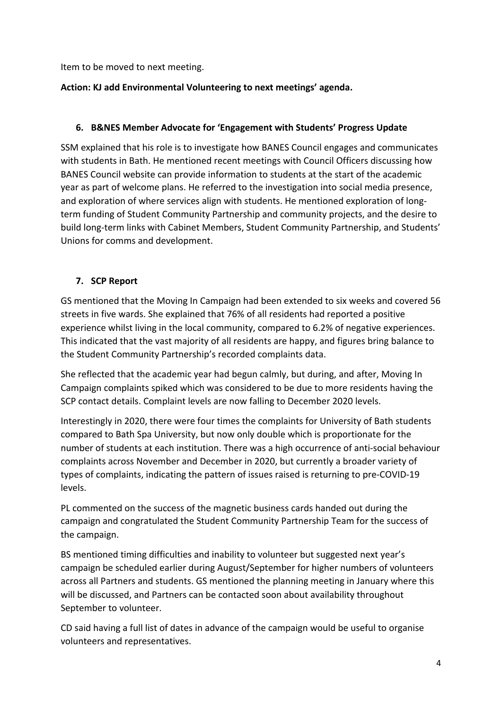Item to be moved to next meeting.

#### **Action: KJ add Environmental Volunteering to next meetings' agenda.**

#### **6. B&NES Member Advocate for 'Engagement with Students' Progress Update**

SSM explained that his role is to investigate how BANES Council engages and communicates with students in Bath. He mentioned recent meetings with Council Officers discussing how BANES Council website can provide information to students at the start of the academic year as part of welcome plans. He referred to the investigation into social media presence, and exploration of where services align with students. He mentioned exploration of longterm funding of Student Community Partnership and community projects, and the desire to build long-term links with Cabinet Members, Student Community Partnership, and Students' Unions for comms and development.

#### **7. SCP Report**

GS mentioned that the Moving In Campaign had been extended to six weeks and covered 56 streets in five wards. She explained that 76% of all residents had reported a positive experience whilst living in the local community, compared to 6.2% of negative experiences. This indicated that the vast majority of all residents are happy, and figures bring balance to the Student Community Partnership's recorded complaints data.

She reflected that the academic year had begun calmly, but during, and after, Moving In Campaign complaints spiked which was considered to be due to more residents having the SCP contact details. Complaint levels are now falling to December 2020 levels.

Interestingly in 2020, there were four times the complaints for University of Bath students compared to Bath Spa University, but now only double which is proportionate for the number of students at each institution. There was a high occurrence of anti-social behaviour complaints across November and December in 2020, but currently a broader variety of types of complaints, indicating the pattern of issues raised is returning to pre-COVID-19 levels.

PL commented on the success of the magnetic business cards handed out during the campaign and congratulated the Student Community Partnership Team for the success of the campaign.

BS mentioned timing difficulties and inability to volunteer but suggested next year's campaign be scheduled earlier during August/September for higher numbers of volunteers across all Partners and students. GS mentioned the planning meeting in January where this will be discussed, and Partners can be contacted soon about availability throughout September to volunteer.

CD said having a full list of dates in advance of the campaign would be useful to organise volunteers and representatives.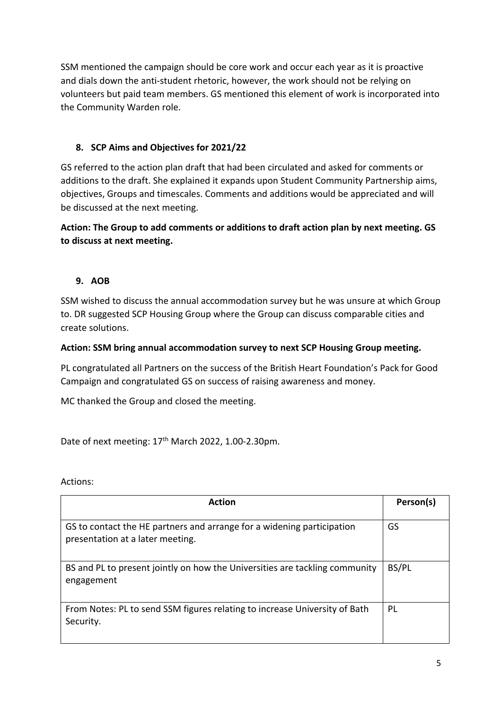SSM mentioned the campaign should be core work and occur each year as it is proactive and dials down the anti-student rhetoric, however, the work should not be relying on volunteers but paid team members. GS mentioned this element of work is incorporated into the Community Warden role.

# **8. SCP Aims and Objectives for 2021/22**

GS referred to the action plan draft that had been circulated and asked for comments or additions to the draft. She explained it expands upon Student Community Partnership aims, objectives, Groups and timescales. Comments and additions would be appreciated and will be discussed at the next meeting.

# **Action: The Group to add comments or additions to draft action plan by next meeting. GS to discuss at next meeting.**

# **9. AOB**

SSM wished to discuss the annual accommodation survey but he was unsure at which Group to. DR suggested SCP Housing Group where the Group can discuss comparable cities and create solutions.

#### **Action: SSM bring annual accommodation survey to next SCP Housing Group meeting.**

PL congratulated all Partners on the success of the British Heart Foundation's Pack for Good Campaign and congratulated GS on success of raising awareness and money.

MC thanked the Group and closed the meeting.

Date of next meeting: 17<sup>th</sup> March 2022, 1.00-2.30pm.

Actions:

| <b>Action</b>                                                                                              | Person(s) |
|------------------------------------------------------------------------------------------------------------|-----------|
| GS to contact the HE partners and arrange for a widening participation<br>presentation at a later meeting. | GS        |
| BS and PL to present jointly on how the Universities are tackling community<br>engagement                  | BS/PL     |
| From Notes: PL to send SSM figures relating to increase University of Bath<br>Security.                    | PL        |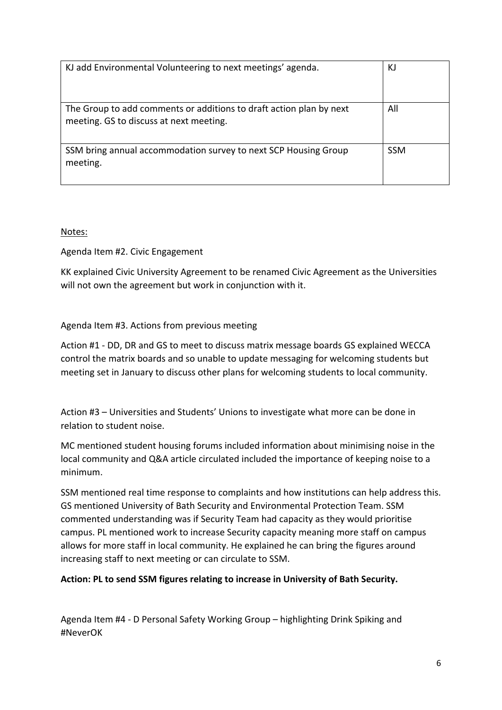| KJ add Environmental Volunteering to next meetings' agenda.                                                    | KJ         |
|----------------------------------------------------------------------------------------------------------------|------------|
| The Group to add comments or additions to draft action plan by next<br>meeting. GS to discuss at next meeting. | All        |
| SSM bring annual accommodation survey to next SCP Housing Group<br>meeting.                                    | <b>SSM</b> |

Notes:

Agenda Item #2. Civic Engagement

KK explained Civic University Agreement to be renamed Civic Agreement as the Universities will not own the agreement but work in conjunction with it.

#### Agenda Item #3. Actions from previous meeting

Action #1 - DD, DR and GS to meet to discuss matrix message boards GS explained WECCA control the matrix boards and so unable to update messaging for welcoming students but meeting set in January to discuss other plans for welcoming students to local community.

Action #3 – Universities and Students' Unions to investigate what more can be done in relation to student noise.

MC mentioned student housing forums included information about minimising noise in the local community and Q&A article circulated included the importance of keeping noise to a minimum.

SSM mentioned real time response to complaints and how institutions can help address this. GS mentioned University of Bath Security and Environmental Protection Team. SSM commented understanding was if Security Team had capacity as they would prioritise campus. PL mentioned work to increase Security capacity meaning more staff on campus allows for more staff in local community. He explained he can bring the figures around increasing staff to next meeting or can circulate to SSM.

#### **Action: PL to send SSM figures relating to increase in University of Bath Security.**

Agenda Item #4 - D Personal Safety Working Group – highlighting Drink Spiking and #NeverOK